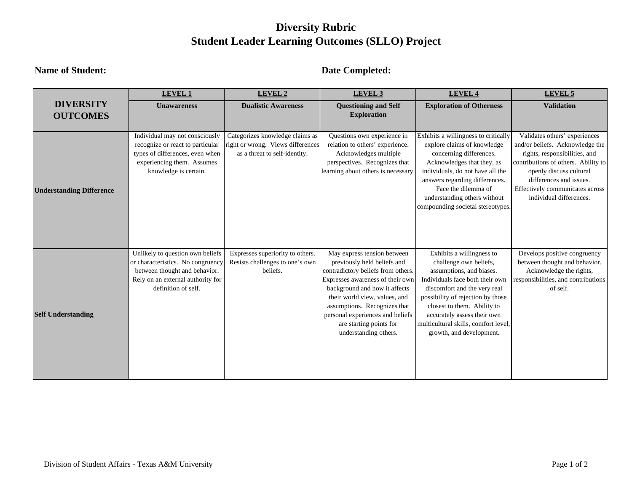# **Diversity Rubric Student Leader Learning Outcomes (SLLO) Project**

### **Name of Student: Date Completed:**

|                                 | <b>LEVEL 1</b>                                                                                                                                                     | <b>LEVEL 2</b>                                                                                        | LEVEL 3                                                                                                                                                                                                                                                                                                                        | <b>LEVEL 4</b>                                                                                                                                                                                                                                                                                                            | LEVEL 5                                                                                                                                                                                                                                                      |
|---------------------------------|--------------------------------------------------------------------------------------------------------------------------------------------------------------------|-------------------------------------------------------------------------------------------------------|--------------------------------------------------------------------------------------------------------------------------------------------------------------------------------------------------------------------------------------------------------------------------------------------------------------------------------|---------------------------------------------------------------------------------------------------------------------------------------------------------------------------------------------------------------------------------------------------------------------------------------------------------------------------|--------------------------------------------------------------------------------------------------------------------------------------------------------------------------------------------------------------------------------------------------------------|
| <b>DIVERSITY</b>                | <b>Unawareness</b>                                                                                                                                                 | <b>Dualistic Awareness</b>                                                                            | <b>Questioning and Self</b>                                                                                                                                                                                                                                                                                                    | <b>Exploration of Otherness</b>                                                                                                                                                                                                                                                                                           | <b>Validation</b>                                                                                                                                                                                                                                            |
| <b>OUTCOMES</b>                 |                                                                                                                                                                    |                                                                                                       | <b>Exploration</b>                                                                                                                                                                                                                                                                                                             |                                                                                                                                                                                                                                                                                                                           |                                                                                                                                                                                                                                                              |
|                                 |                                                                                                                                                                    |                                                                                                       |                                                                                                                                                                                                                                                                                                                                |                                                                                                                                                                                                                                                                                                                           |                                                                                                                                                                                                                                                              |
| <b>Understanding Difference</b> | Individual may not consciously<br>recognize or react to particular<br>types of differences, even when<br>experiencing them. Assumes<br>knowledge is certain.       | Categorizes knowledge claims as<br>right or wrong. Views differences<br>as a threat to self-identity. | Questions own experience in<br>relation to others' experience.<br>Acknowledges multiple<br>perspectives. Recognizes that<br>learning about others is necessary.                                                                                                                                                                | Exhibits a willingness to critically<br>explore claims of knowledge<br>concerning differences.<br>Acknowledges that they, as<br>individuals, do not have all the<br>answers regarding differences.<br>Face the dilemma of<br>understanding others without<br>compounding societal stereotypes.                            | Validates others' experiences<br>and/or beliefs. Acknowledge the<br>rights, responsibilities, and<br>contributions of others. Ability to<br>openly discuss cultural<br>differences and issues.<br>Effectively communicates across<br>individual differences. |
| <b>Self Understanding</b>       | Unlikely to question own beliefs<br>or characteristics. No congruency<br>between thought and behavior.<br>Rely on an external authority for<br>definition of self. | Expresses superiority to others.<br>Resists challenges to one's own<br>beliefs.                       | May express tension between<br>previously held beliefs and<br>contradictory beliefs from others.<br>Expresses awareness of their own<br>background and how it affects<br>their world view, values, and<br>assumptions. Recognizes that<br>personal experiences and beliefs<br>are starting points for<br>understanding others. | Exhibits a willingness to<br>challenge own beliefs,<br>assumptions, and biases.<br>Individuals face both their own<br>discomfort and the very real<br>possibility of rejection by those<br>closest to them. Ability to<br>accurately assess their own<br>multicultural skills, comfort level,<br>growth, and development. | Develops positive congruency<br>between thought and behavior.<br>Acknowledge the rights,<br>responsibilities, and contributions<br>of self.                                                                                                                  |